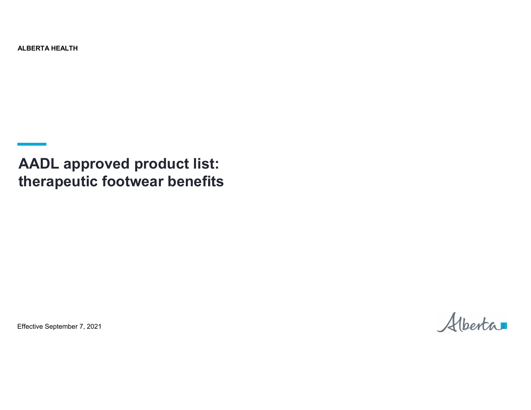ALBERTA HEALTH

**AADL approved product list: therapeutic footwear benefits**

Effective September 7, 2021